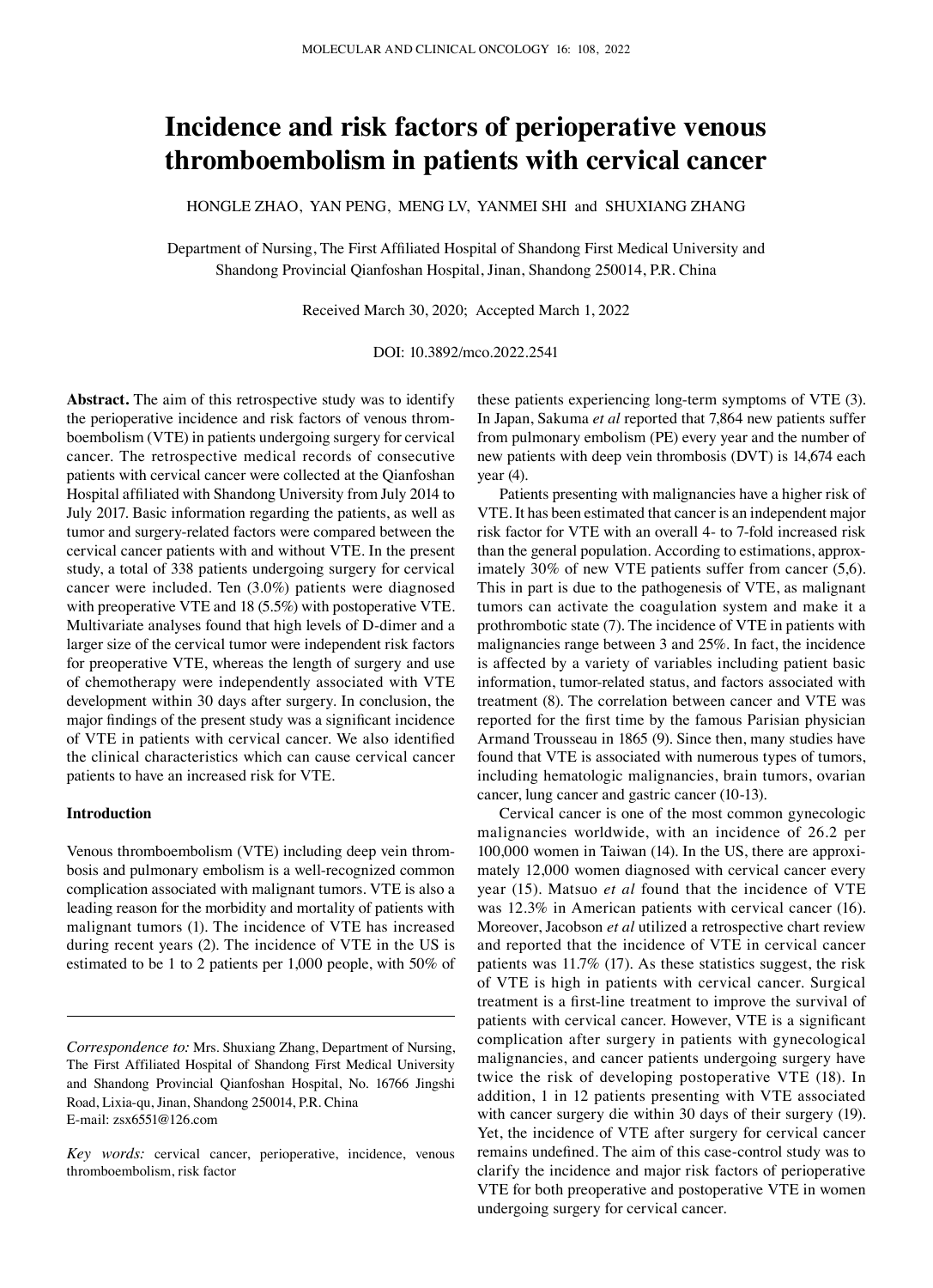# **Incidence and risk factors of perioperative venous thromboembolism in patients with cervical cancer**

HONGLE ZHAO, YAN PENG, MENG LV, YANMEI SHI and SHUXIANG ZHANG

Department of Nursing, The First Affiliated Hospital of Shandong First Medical University and Shandong Provincial Qianfoshan Hospital, Jinan, Shandong 250014, P.R. China

Received March 30, 2020; Accepted March 1, 2022

# DOI: 10.3892/mco.2022.2541

**Abstract.** The aim of this retrospective study was to identify the perioperative incidence and risk factors of venous thromboembolism (VTE) in patients undergoing surgery for cervical cancer. The retrospective medical records of consecutive patients with cervical cancer were collected at the Qianfoshan Hospital affiliated with Shandong University from July 2014 to July 2017. Basic information regarding the patients, as well as tumor and surgery‑related factors were compared between the cervical cancer patients with and without VTE. In the present study, a total of 338 patients undergoing surgery for cervical cancer were included. Ten (3.0%) patients were diagnosed with preoperative VTE and 18 (5.5%) with postoperative VTE. Multivariate analyses found that high levels of D‑dimer and a larger size of the cervical tumor were independent risk factors for preoperative VTE, whereas the length of surgery and use of chemotherapy were independently associated with VTE development within 30 days after surgery. In conclusion, the major findings of the present study was a significant incidence of VTE in patients with cervical cancer. We also identified the clinical characteristics which can cause cervical cancer patients to have an increased risk for VTE.

# **Introduction**

Venous thromboembolism (VTE) including deep vein thrombosis and pulmonary embolism is a well‑recognized common complication associated with malignant tumors. VTE is also a leading reason for the morbidity and mortality of patients with malignant tumors (1). The incidence of VTE has increased during recent years (2). The incidence of VTE in the US is estimated to be 1 to 2 patients per 1,000 people, with 50% of

these patients experiencing long‑term symptoms of VTE (3). In Japan, Sakuma *et al* reported that 7,864 new patients suffer from pulmonary embolism (PE) every year and the number of new patients with deep vein thrombosis (DVT) is 14,674 each year  $(4)$ .

Patients presenting with malignancies have a higher risk of VTE. It has been estimated that cancer is an independent major risk factor for VTE with an overall 4‑ to 7‑fold increased risk than the general population. According to estimations, approximately 30% of new VTE patients suffer from cancer (5,6). This in part is due to the pathogenesis of VTE, as malignant tumors can activate the coagulation system and make it a prothrombotic state (7). The incidence of VTE in patients with malignancies range between 3 and 25%. In fact, the incidence is affected by a variety of variables including patient basic information, tumor-related status, and factors associated with treatment (8). The correlation between cancer and VTE was reported for the first time by the famous Parisian physician Armand Trousseau in 1865 (9). Since then, many studies have found that VTE is associated with numerous types of tumors, including hematologic malignancies, brain tumors, ovarian cancer, lung cancer and gastric cancer (10‑13).

Cervical cancer is one of the most common gynecologic malignancies worldwide, with an incidence of 26.2 per 100,000 women in Taiwan (14). In the US, there are approximately 12,000 women diagnosed with cervical cancer every year (15). Matsuo *et al* found that the incidence of VTE was 12.3% in American patients with cervical cancer (16). Moreover, Jacobson *et al* utilized a retrospective chart review and reported that the incidence of VTE in cervical cancer patients was 11.7% (17). As these statistics suggest, the risk of VTE is high in patients with cervical cancer. Surgical treatment is a first‑line treatment to improve the survival of patients with cervical cancer. However, VTE is a significant complication after surgery in patients with gynecological malignancies, and cancer patients undergoing surgery have twice the risk of developing postoperative VTE (18). In addition, 1 in 12 patients presenting with VTE associated with cancer surgery die within 30 days of their surgery  $(19)$ . Yet, the incidence of VTE after surgery for cervical cancer remains undefined. The aim of this case‑control study was to clarify the incidence and major risk factors of perioperative VTE for both preoperative and postoperative VTE in women undergoing surgery for cervical cancer.

*Correspondence to:* Mrs. Shuxiang Zhang, Department of Nursing, The First Affiliated Hospital of Shandong First Medical University and Shandong Provincial Qianfoshan Hospital, No. 16766 Jingshi Road, Lixia-qu, Jinan, Shandong 250014, P.R. China E‑mail: zsx6551@126.com

*Key words:* cervical cancer, perioperative, incidence, venous thromboembolism, risk factor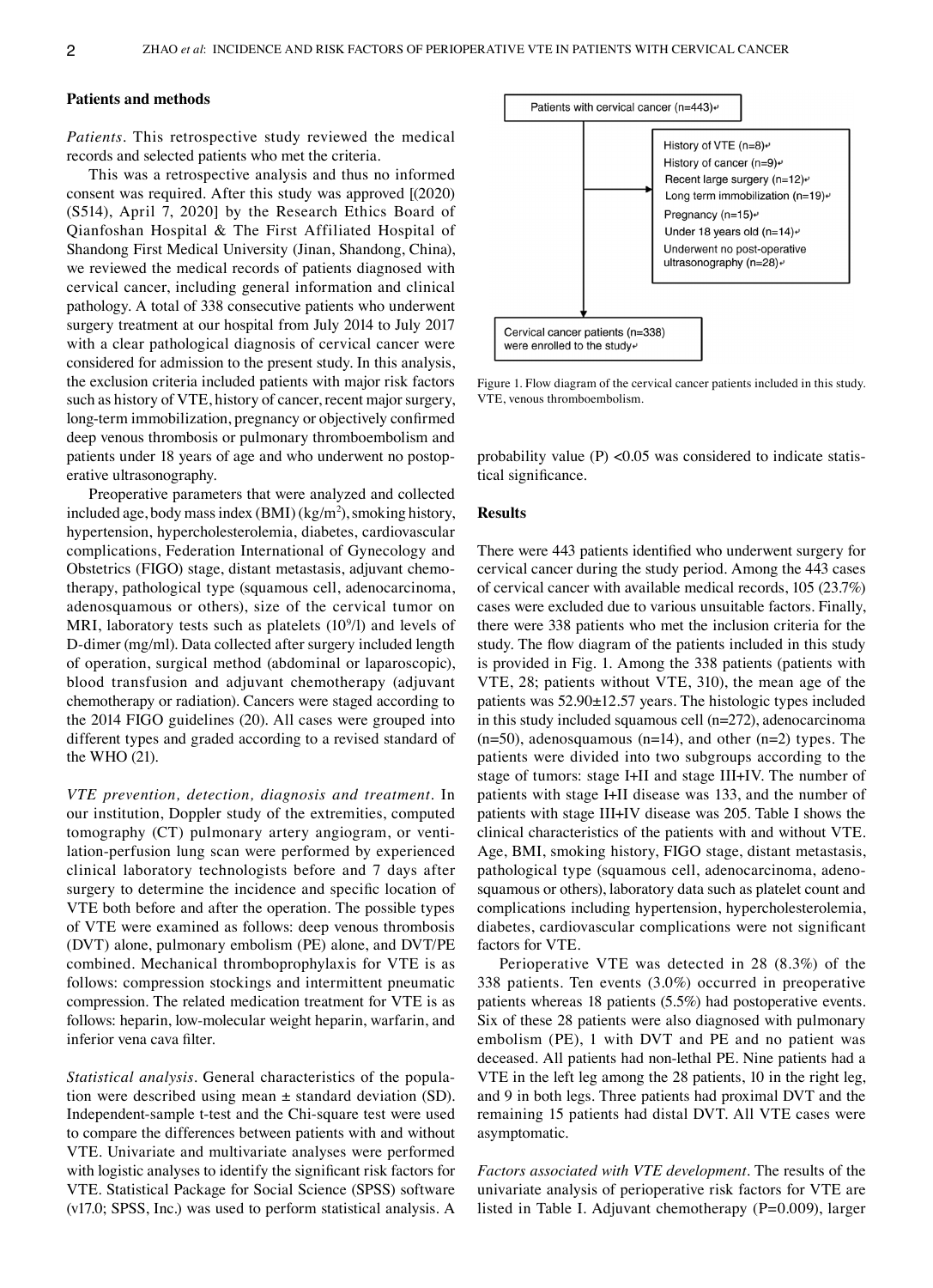#### **Patients and methods**

*Patients.* This retrospective study reviewed the medical records and selected patients who met the criteria.

This was a retrospective analysis and thus no informed consent was required. After this study was approved [(2020) (S514), April 7, 2020] by the Research Ethics Board of Qianfoshan Hospital & The First Affiliated Hospital of Shandong First Medical University (Jinan, Shandong, China), we reviewed the medical records of patients diagnosed with cervical cancer, including general information and clinical pathology. A total of 338 consecutive patients who underwent surgery treatment at our hospital from July 2014 to July 2017 with a clear pathological diagnosis of cervical cancer were considered for admission to the present study. In this analysis, the exclusion criteria included patients with major risk factors such as history of VTE, history of cancer, recent major surgery, long‑term immobilization, pregnancy or objectively confirmed deep venous thrombosis or pulmonary thromboembolism and patients under 18 years of age and who underwent no postoperative ultrasonography.

Preoperative parameters that were analyzed and collected included age, body mass index  $(BMI)(kg/m^2)$ , smoking history, hypertension, hypercholesterolemia, diabetes, cardiovascular complications, Federation International of Gynecology and Obstetrics (FIGO) stage, distant metastasis, adjuvant chemotherapy, pathological type (squamous cell, adenocarcinoma, adenosquamous or others), size of the cervical tumor on MRI, laboratory tests such as platelets  $(10^9/l)$  and levels of D‑dimer (mg/ml). Data collected after surgery included length of operation, surgical method (abdominal or laparoscopic), blood transfusion and adjuvant chemotherapy (adjuvant chemotherapy or radiation). Cancers were staged according to the 2014 FIGO guidelines (20). All cases were grouped into different types and graded according to a revised standard of the WHO (21).

*VTE prevention, detection, diagnosis and treatment.* In our institution, Doppler study of the extremities, computed tomography (CT) pulmonary artery angiogram, or ventilation‑perfusion lung scan were performed by experienced clinical laboratory technologists before and 7 days after surgery to determine the incidence and specific location of VTE both before and after the operation. The possible types of VTE were examined as follows: deep venous thrombosis (DVT) alone, pulmonary embolism (PE) alone, and DVT/PE combined. Mechanical thromboprophylaxis for VTE is as follows: compression stockings and intermittent pneumatic compression. The related medication treatment for VTE is as follows: heparin, low‑molecular weight heparin, warfarin, and inferior vena cava filter.

*Statistical analysis.* General characteristics of the population were described using mean  $\pm$  standard deviation (SD). Independent‑sample t‑test and the Chi‑square test were used to compare the differences between patients with and without VTE. Univariate and multivariate analyses were performed with logistic analyses to identify the significant risk factors for VTE. Statistical Package for Social Science (SPSS) software (v17.0; SPSS, Inc.) was used to perform statistical analysis. A



Figure 1. Flow diagram of the cervical cancer patients included in this study. VTE, venous thromboembolism.

probability value (P) < $0.05$  was considered to indicate statistical significance.

## **Results**

There were 443 patients identified who underwent surgery for cervical cancer during the study period. Among the 443 cases of cervical cancer with available medical records, 105 (23.7%) cases were excluded due to various unsuitable factors. Finally, there were 338 patients who met the inclusion criteria for the study. The flow diagram of the patients included in this study is provided in Fig. 1. Among the 338 patients (patients with VTE, 28; patients without VTE, 310), the mean age of the patients was 52.90±12.57 years. The histologic types included in this study included squamous cell (n=272), adenocarcinoma  $(n=50)$ , adenosquamous  $(n=14)$ , and other  $(n=2)$  types. The patients were divided into two subgroups according to the stage of tumors: stage I+II and stage III+IV. The number of patients with stage I+II disease was 133, and the number of patients with stage III+IV disease was 205. Table I shows the clinical characteristics of the patients with and without VTE. Age, BMI, smoking history, FIGO stage, distant metastasis, pathological type (squamous cell, adenocarcinoma, adenosquamous or others), laboratory data such as platelet count and complications including hypertension, hypercholesterolemia, diabetes, cardiovascular complications were not significant factors for VTE.

Perioperative VTE was detected in 28 (8.3%) of the 338 patients. Ten events (3.0%) occurred in preoperative patients whereas 18 patients (5.5%) had postoperative events. Six of these 28 patients were also diagnosed with pulmonary embolism (PE), 1 with DVT and PE and no patient was deceased. All patients had non‑lethal PE. Nine patients had a VTE in the left leg among the 28 patients, 10 in the right leg, and 9 in both legs. Three patients had proximal DVT and the remaining 15 patients had distal DVT. All VTE cases were asymptomatic.

*Factors associated with VTE development.* The results of the univariate analysis of perioperative risk factors for VTE are listed in Table I. Adjuvant chemotherapy (P=0.009), larger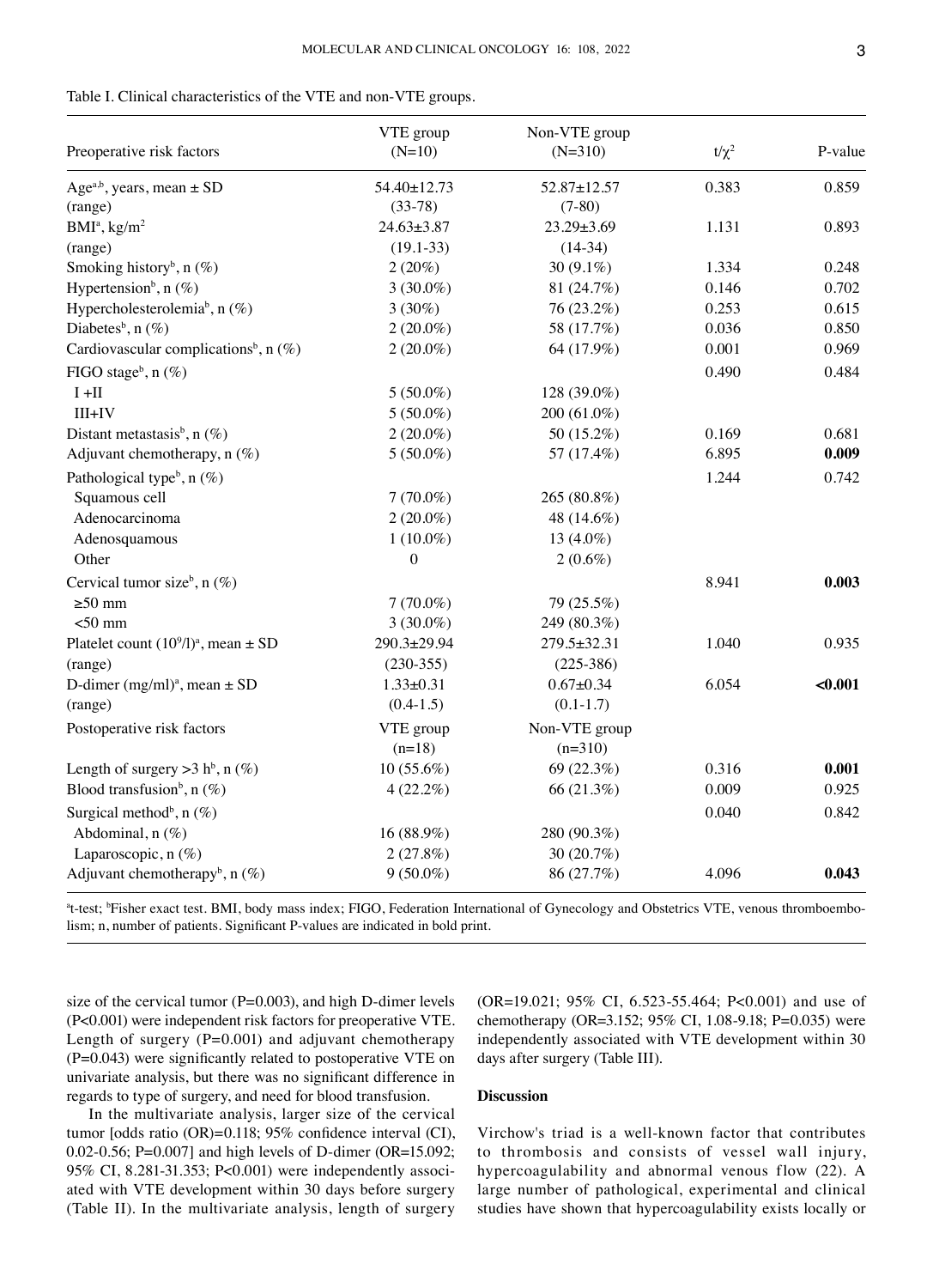|  |  |  | Table I. Clinical characteristics of the VTE and non-VTE groups. |  |  |  |  |
|--|--|--|------------------------------------------------------------------|--|--|--|--|
|--|--|--|------------------------------------------------------------------|--|--|--|--|

| Preoperative risk factors                            | VTE group<br>$(N=10)$ | Non-VTE group<br>$(N=310)$ | $t/\chi^2$ | P-value |
|------------------------------------------------------|-----------------------|----------------------------|------------|---------|
| Age <sup>a,b</sup> , years, mean $\pm$ SD            | 54.40±12.73           | 52.87±12.57                | 0.383      | 0.859   |
| (range)                                              | $(33-78)$             | $(7-80)$                   |            |         |
| $BMIa$ , kg/m <sup>2</sup>                           | $24.63 \pm 3.87$      | $23.29 \pm 3.69$           | 1.131      | 0.893   |
| (range)                                              | $(19.1 - 33)$         | $(14-34)$                  |            |         |
| Smoking history <sup>b</sup> , n $(\%)$              | $2(20\%)$             | 30 $(9.1\%)$               | 1.334      | 0.248   |
| Hypertension <sup>b</sup> , n $(\%)$                 | $3(30.0\%)$           | 81 (24.7%)                 | 0.146      | 0.702   |
| Hypercholesterolemia <sup>b</sup> , n $(\%)$         | $3(30\%)$             | 76 (23.2%)                 | 0.253      | 0.615   |
| Diabetes <sup>b</sup> , n $(\%)$                     | $2(20.0\%)$           | 58 (17.7%)                 | 0.036      | 0.850   |
| Cardiovascular complications <sup>b</sup> , n $(\%)$ | $2(20.0\%)$           | 64 (17.9%)                 | 0.001      | 0.969   |
| FIGO stageb, $n$ (%)                                 |                       |                            | 0.490      | 0.484   |
| $I + II$                                             | $5(50.0\%)$           | 128 (39.0%)                |            |         |
| $III+IV$                                             | $5(50.0\%)$           | 200 (61.0%)                |            |         |
| Distant metastasis <sup>b</sup> , n $(\%)$           | $2(20.0\%)$           | 50 (15.2%)                 | 0.169      | 0.681   |
| Adjuvant chemotherapy, $n$ (%)                       | $5(50.0\%)$           | 57 (17.4%)                 | 6.895      | 0.009   |
| Pathological type <sup>b</sup> , $n$ (%)             |                       |                            | 1.244      | 0.742   |
| Squamous cell                                        | $7(70.0\%)$           | 265 (80.8%)                |            |         |
| Adenocarcinoma                                       | $2(20.0\%)$           | 48 (14.6%)                 |            |         |
| Adenosquamous                                        | $1(10.0\%)$           | 13 (4.0%)                  |            |         |
| Other                                                | $\boldsymbol{0}$      | $2(0.6\%)$                 |            |         |
| Cervical tumor size <sup>b</sup> , n $(\%)$          |                       |                            | 8.941      | 0.003   |
| $\geq 50$ mm                                         | $7(70.0\%)$           | 79 (25.5%)                 |            |         |
| $<$ 50 mm                                            | $3(30.0\%)$           | 249 (80.3%)                |            |         |
| Platelet count $(10^9/l)^a$ , mean $\pm$ SD          | 290.3±29.94           | 279.5±32.31                | 1.040      | 0.935   |
| (range)                                              | $(230-355)$           | $(225-386)$                |            |         |
| D-dimer (mg/ml) <sup>a</sup> , mean $\pm$ SD         | $1.33 \pm 0.31$       | $0.67 + 0.34$              | 6.054      | < 0.001 |
| (range)                                              | $(0.4-1.5)$           | $(0.1 - 1.7)$              |            |         |
| Postoperative risk factors                           | VTE group             | Non-VTE group              |            |         |
|                                                      | $(n=18)$              | $(n=310)$                  |            |         |
| Length of surgery > 3 h <sup>b</sup> , n $(\%)$      | $10(55.6\%)$          | 69 (22.3%)                 | 0.316      | 0.001   |
| Blood transfusion <sup>b</sup> , n $(\%)$            | $4(22.2\%)$           | 66 (21.3%)                 | 0.009      | 0.925   |
| Surgical method <sup>b</sup> , n $(\%)$              |                       |                            | 0.040      | 0.842   |
| Abdominal, n (%)                                     | 16 (88.9%)            | 280 (90.3%)                |            |         |
| Laparoscopic, n (%)                                  | 2(27.8%)              | 30 (20.7%)                 |            |         |
| Adjuvant chemotherapy <sup>b</sup> , n $(\%)$        | $9(50.0\%)$           | 86 (27.7%)                 | 4.096      | 0.043   |

<sup>a</sup>t-test; <sup>b</sup>Fisher exact test. BMI, body mass index; FIGO, Federation International of Gynecology and Obstetrics VTE, venous thromboembolism; n, number of patients. Significant P-values are indicated in bold print.

size of the cervical tumor ( $P=0.003$ ), and high D-dimer levels (P<0.001) were independent risk factors for preoperative VTE. Length of surgery (P=0.001) and adjuvant chemotherapy (P=0.043) were significantly related to postoperative VTE on univariate analysis, but there was no significant difference in regards to type of surgery, and need for blood transfusion.

In the multivariate analysis, larger size of the cervical tumor [odds ratio (OR)=0.118; 95% confidence interval (CI), 0.02‑0.56; P=0.007] and high levels of D‑dimer (OR=15.092; 95% CI, 8.281-31.353; P<0.001) were independently associated with VTE development within 30 days before surgery (Table II). In the multivariate analysis, length of surgery (OR=19.021; 95% CI, 6.523‑55.464; P<0.001) and use of chemotherapy (OR=3.152; 95% CI, 1.08‑9.18; P=0.035) were independently associated with VTE development within 30 days after surgery (Table III).

# **Discussion**

Virchow's triad is a well‑known factor that contributes to thrombosis and consists of vessel wall injury, hypercoagulability and abnormal venous flow (22). A large number of pathological, experimental and clinical studies have shown that hypercoagulability exists locally or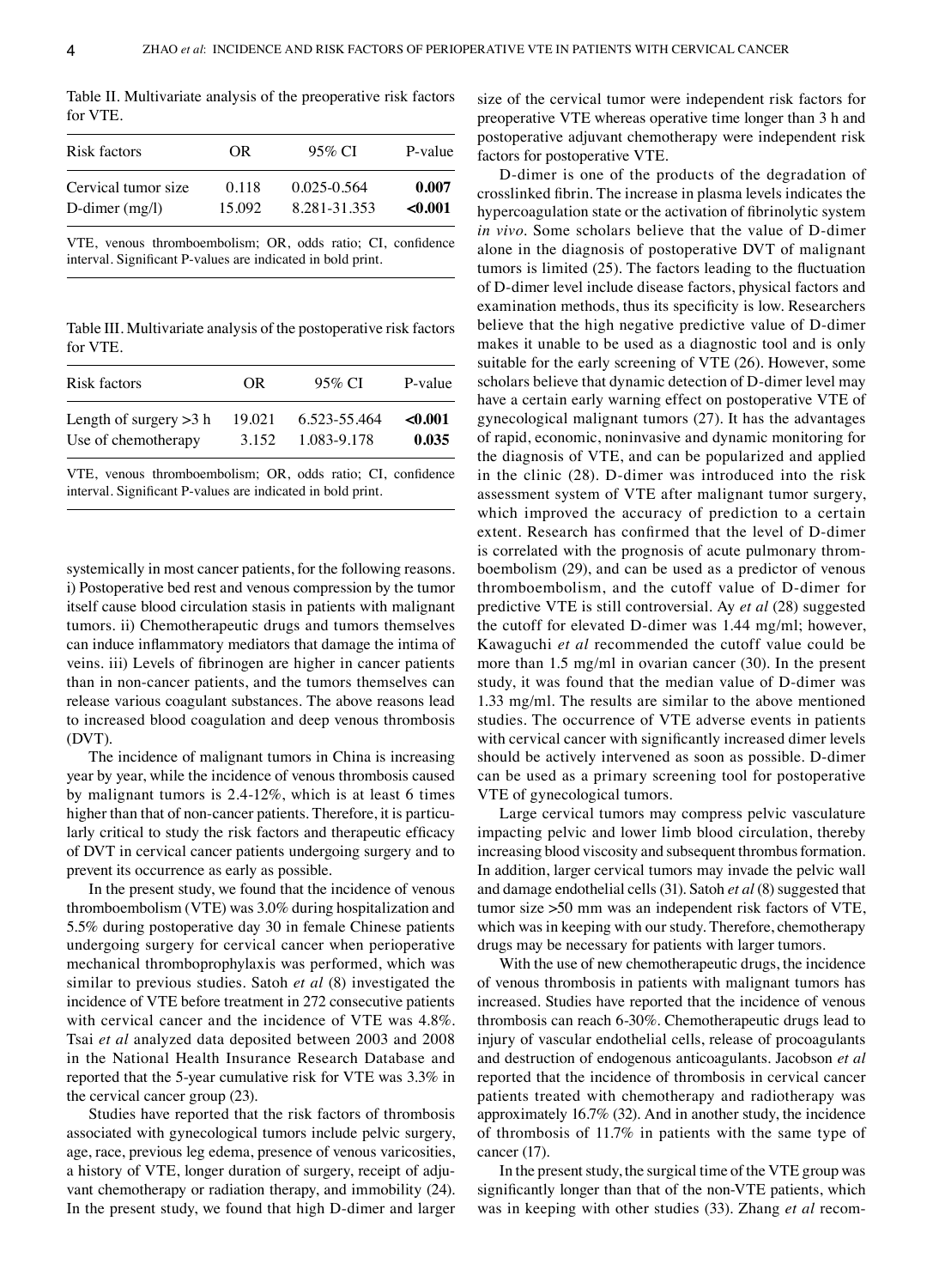Table II. Multivariate analysis of the preoperative risk factors for VTE.

| Risk factors        | OR.    | 95% CI          | P-value |
|---------------------|--------|-----------------|---------|
| Cervical tumor size | 0.118  | $0.025 - 0.564$ | 0.007   |
| D-dimer $(mg/l)$    | 15.092 | 8.281-31.353    | < 0.001 |
|                     |        |                 |         |

VTE, venous thromboembolism; OR, odds ratio; CI, confidence interval. Significant P‑values are indicated in bold print.

Table III. Multivariate analysis of the postoperative risk factors for VTE.

| Risk factors             | OR.    | 95% CI       | P-value |
|--------------------------|--------|--------------|---------|
| Length of surgery $>3$ h | 19.021 | 6.523-55.464 | < 0.001 |
| Use of chemotherapy      | 3.152  | 1.083-9.178  | 0.035   |

VTE, venous thromboembolism; OR, odds ratio; CI, confidence interval. Significant P‑values are indicated in bold print.

systemically in most cancer patients, for the following reasons. i) Postoperative bed rest and venous compression by the tumor itself cause blood circulation stasis in patients with malignant tumors. ii) Chemotherapeutic drugs and tumors themselves can induce inflammatory mediators that damage the intima of veins. iii) Levels of fibrinogen are higher in cancer patients than in non‑cancer patients, and the tumors themselves can release various coagulant substances. The above reasons lead to increased blood coagulation and deep venous thrombosis (DVT).

The incidence of malignant tumors in China is increasing year by year, while the incidence of venous thrombosis caused by malignant tumors is 2.4‑12%, which is at least 6 times higher than that of non-cancer patients. Therefore, it is particularly critical to study the risk factors and therapeutic efficacy of DVT in cervical cancer patients undergoing surgery and to prevent its occurrence as early as possible.

In the present study, we found that the incidence of venous thromboembolism (VTE) was 3.0% during hospitalization and 5.5% during postoperative day 30 in female Chinese patients undergoing surgery for cervical cancer when perioperative mechanical thromboprophylaxis was performed, which was similar to previous studies. Satoh *et al* (8) investigated the incidence of VTE before treatment in 272 consecutive patients with cervical cancer and the incidence of VTE was 4.8%. Tsai *et al* analyzed data deposited between 2003 and 2008 in the National Health Insurance Research Database and reported that the 5‑year cumulative risk for VTE was 3.3% in the cervical cancer group (23).

Studies have reported that the risk factors of thrombosis associated with gynecological tumors include pelvic surgery, age, race, previous leg edema, presence of venous varicosities, a history of VTE, longer duration of surgery, receipt of adjuvant chemotherapy or radiation therapy, and immobility (24). In the present study, we found that high D‑dimer and larger size of the cervical tumor were independent risk factors for preoperative VTE whereas operative time longer than 3 h and postoperative adjuvant chemotherapy were independent risk factors for postoperative VTE.

D‑dimer is one of the products of the degradation of crosslinked fibrin. The increase in plasma levels indicates the hypercoagulation state or the activation of fibrinolytic system *in vivo*. Some scholars believe that the value of D-dimer alone in the diagnosis of postoperative DVT of malignant tumors is limited (25). The factors leading to the fluctuation of D‑dimer level include disease factors, physical factors and examination methods, thus its specificity is low. Researchers believe that the high negative predictive value of D-dimer makes it unable to be used as a diagnostic tool and is only suitable for the early screening of VTE (26). However, some scholars believe that dynamic detection of D-dimer level may have a certain early warning effect on postoperative VTE of gynecological malignant tumors (27). It has the advantages of rapid, economic, noninvasive and dynamic monitoring for the diagnosis of VTE, and can be popularized and applied in the clinic (28). D-dimer was introduced into the risk assessment system of VTE after malignant tumor surgery, which improved the accuracy of prediction to a certain extent. Research has confirmed that the level of D-dimer is correlated with the prognosis of acute pulmonary thromboembolism (29), and can be used as a predictor of venous thromboembolism, and the cutoff value of D‑dimer for predictive VTE is still controversial. Ay *et al* (28) suggested the cutoff for elevated D‑dimer was 1.44 mg/ml; however, Kawaguchi *et al* recommended the cutoff value could be more than 1.5 mg/ml in ovarian cancer (30). In the present study, it was found that the median value of D‑dimer was 1.33 mg/ml. The results are similar to the above mentioned studies. The occurrence of VTE adverse events in patients with cervical cancer with significantly increased dimer levels should be actively intervened as soon as possible. D-dimer can be used as a primary screening tool for postoperative VTE of gynecological tumors.

Large cervical tumors may compress pelvic vasculature impacting pelvic and lower limb blood circulation, thereby increasing blood viscosity and subsequent thrombus formation. In addition, larger cervical tumors may invade the pelvic wall and damage endothelial cells(31). Satoh *et al* (8) suggested that tumor size >50 mm was an independent risk factors of VTE, which was in keeping with our study. Therefore, chemotherapy drugs may be necessary for patients with larger tumors.

With the use of new chemotherapeutic drugs, the incidence of venous thrombosis in patients with malignant tumors has increased. Studies have reported that the incidence of venous thrombosis can reach 6‑30%. Chemotherapeutic drugs lead to injury of vascular endothelial cells, release of procoagulants and destruction of endogenous anticoagulants. Jacobson *et al* reported that the incidence of thrombosis in cervical cancer patients treated with chemotherapy and radiotherapy was approximately 16.7% (32). And in another study, the incidence of thrombosis of 11.7% in patients with the same type of cancer (17).

In the present study, the surgical time of the VTE group was significantly longer than that of the non‑VTE patients, which was in keeping with other studies (33). Zhang *et al* recom‑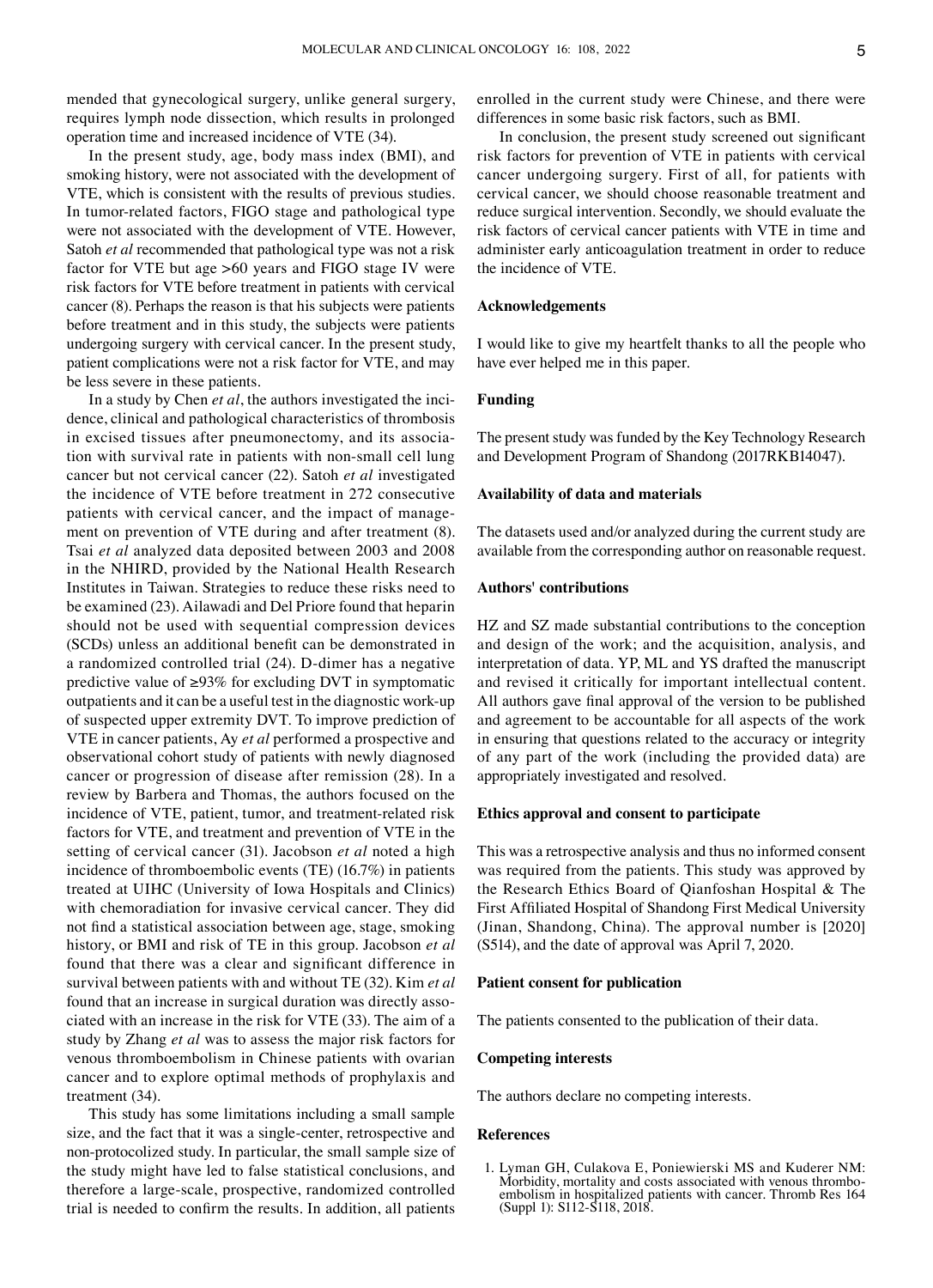mended that gynecological surgery, unlike general surgery, requires lymph node dissection, which results in prolonged operation time and increased incidence of VTE (34).

In the present study, age, body mass index (BMI), and smoking history, were not associated with the development of VTE, which is consistent with the results of previous studies. In tumor‑related factors, FIGO stage and pathological type were not associated with the development of VTE. However, Satoh *et al* recommended that pathological type was not a risk factor for VTE but age >60 years and FIGO stage IV were risk factors for VTE before treatment in patients with cervical cancer (8). Perhaps the reason is that his subjects were patients before treatment and in this study, the subjects were patients undergoing surgery with cervical cancer. In the present study, patient complications were not a risk factor for VTE, and may be less severe in these patients.

In a study by Chen et al, the authors investigated the incidence, clinical and pathological characteristics of thrombosis in excised tissues after pneumonectomy, and its association with survival rate in patients with non‑small cell lung cancer but not cervical cancer (22). Satoh *et al* investigated the incidence of VTE before treatment in 272 consecutive patients with cervical cancer, and the impact of management on prevention of VTE during and after treatment (8). Tsai *et al* analyzed data deposited between 2003 and 2008 in the NHIRD, provided by the National Health Research Institutes in Taiwan. Strategies to reduce these risks need to be examined (23). Ailawadi and Del Priore found that heparin should not be used with sequential compression devices (SCDs) unless an additional benefit can be demonstrated in a randomized controlled trial (24). D‑dimer has a negative predictive value of ≥93% for excluding DVT in symptomatic outpatients and it can be a useful test in the diagnostic work‑up of suspected upper extremity DVT. To improve prediction of VTE in cancer patients, Ay *et al* performed a prospective and observational cohort study of patients with newly diagnosed cancer or progression of disease after remission (28). In a review by Barbera and Thomas, the authors focused on the incidence of VTE, patient, tumor, and treatment-related risk factors for VTE, and treatment and prevention of VTE in the setting of cervical cancer (31). Jacobson *et al* noted a high incidence of thromboembolic events (TE) (16.7%) in patients treated at UIHC (University of Iowa Hospitals and Clinics) with chemoradiation for invasive cervical cancer. They did not find a statistical association between age, stage, smoking history, or BMI and risk of TE in this group. Jacobson *et al* found that there was a clear and significant difference in survival between patients with and without TE (32). Kim *et al* found that an increase in surgical duration was directly associated with an increase in the risk for VTE (33). The aim of a study by Zhang *et al* was to assess the major risk factors for venous thromboembolism in Chinese patients with ovarian cancer and to explore optimal methods of prophylaxis and treatment (34).

This study has some limitations including a small sample size, and the fact that it was a single‑center, retrospective and non‑protocolized study. In particular, the small sample size of the study might have led to false statistical conclusions, and therefore a large‑scale, prospective, randomized controlled trial is needed to confirm the results. In addition, all patients enrolled in the current study were Chinese, and there were differences in some basic risk factors, such as BMI.

In conclusion, the present study screened out significant risk factors for prevention of VTE in patients with cervical cancer undergoing surgery. First of all, for patients with cervical cancer, we should choose reasonable treatment and reduce surgical intervention. Secondly, we should evaluate the risk factors of cervical cancer patients with VTE in time and administer early anticoagulation treatment in order to reduce the incidence of VTE.

## **Acknowledgements**

I would like to give my heartfelt thanks to all the people who have ever helped me in this paper.

# **Funding**

The present study was funded by the Key Technology Research and Development Program of Shandong (2017RKB14047).

### **Availability of data and materials**

The datasets used and/or analyzed during the current study are available from the corresponding author on reasonable request.

# **Authors' contributions**

HZ and SZ made substantial contributions to the conception and design of the work; and the acquisition, analysis, and interpretation of data. YP, ML and YS drafted the manuscript and revised it critically for important intellectual content. All authors gave final approval of the version to be published and agreement to be accountable for all aspects of the work in ensuring that questions related to the accuracy or integrity of any part of the work (including the provided data) are appropriately investigated and resolved.

#### **Ethics approval and consent to participate**

This was a retrospective analysis and thus no informed consent was required from the patients. This study was approved by the Research Ethics Board of Qianfoshan Hospital & The First Affiliated Hospital of Shandong First Medical University (Jinan, Shandong, China). The approval number is [2020] (S514), and the date of approval was April 7, 2020.

#### **Patient consent for publication**

The patients consented to the publication of their data.

#### **Competing interests**

The authors declare no competing interests.

#### **References**

1. Lyman GH, Culakova E, Poniewierski MS and Kuderer NM: Morbidity, mortality and costs associated with venous thrombo‑ embolism in hospitalized patients with cancer. Thromb Res <sup>164</sup> (Suppl 1): S112‑S118, 2018.